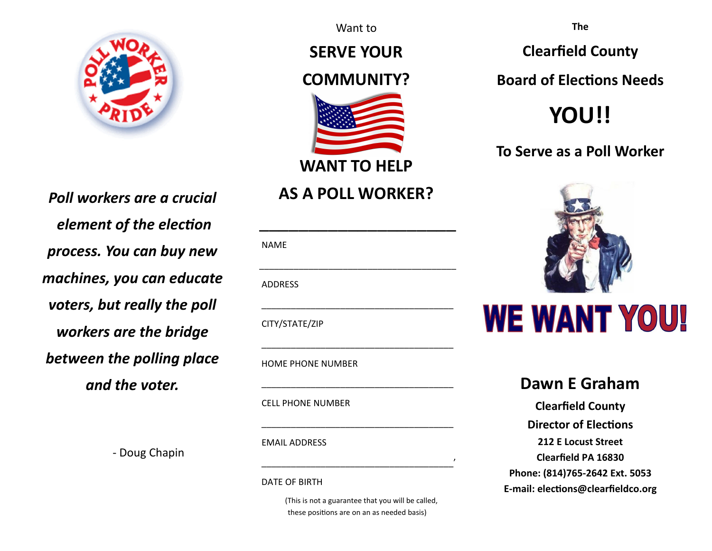

*Poll workers are a crucial element of the election process. You can buy new machines, you can educate voters, but really the poll workers are the bridge between the polling place and the voter.*

Want to

**SERVE YOUR** 

## **COMMUNITY?**



**WANT TO HELP** 

## **AS A POLL WORKER?**

| <b>NAME</b>    |  |  |
|----------------|--|--|
|                |  |  |
| <b>ADDRESS</b> |  |  |
|                |  |  |
| CITY/STATE/ZIP |  |  |

 \_\_\_\_\_\_\_\_\_\_\_\_\_\_\_\_\_\_\_\_\_\_\_\_\_\_\_\_\_\_\_\_\_\_\_\_\_\_\_ HOME PHONE NUMBER

CELL PHONE NUMBER

EMAIL ADDRESS

‐ Doug Chapin

DATE OF BIRTH

(This is not a guarantee that you will be called, these positions are on an as needed basis)

\_\_\_\_\_\_\_\_\_\_\_\_\_\_\_\_\_\_\_\_\_\_\_\_\_\_\_\_\_\_\_\_\_\_\_\_\_\_\_'

**The** 

**Clearfield County** 

**Board of Elections Needs** 

# **YOU!!**

**To Serve as a Poll Worker** 



## **Dawn E Graham**

**Clearfield County Director of Elections 212 E Locust Street Clearfield PA 16830 Phone: (814)765‐2642 Ext. 5053 E‐mail: elecƟons@clearfieldco.org**